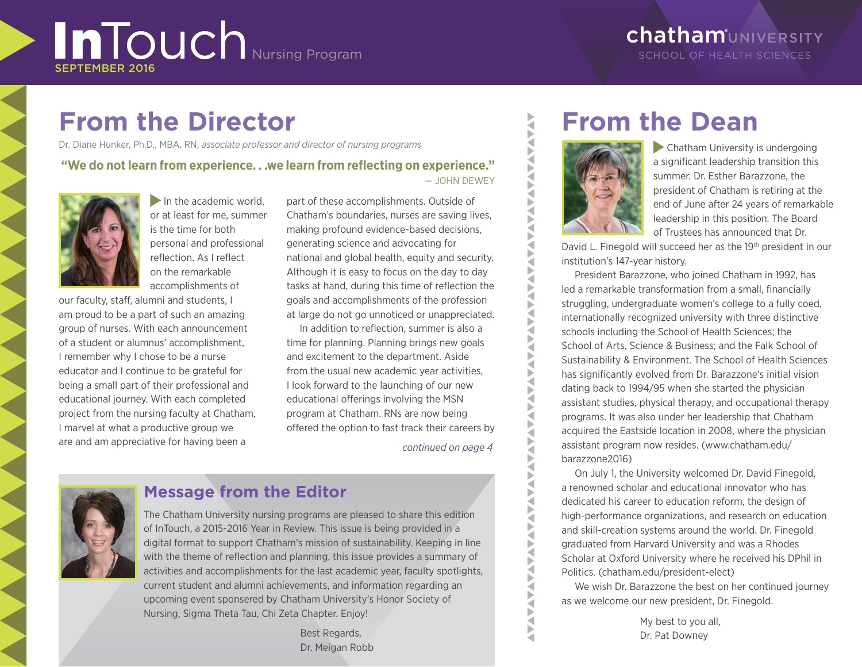# InTouch Nursing Program

# **chatham**UNIVERSITY SCHOOL OF HEALTH SCIENCES

# **From the Director**

Dr. Diane Hunker, Ph.D., MBA, RN, *associate professor and director of nursing programs*

### **"We do not learn from experience. . .we learn from reflecting on experience."** — JOHN DEWEY



In the academic world, or at least for me, summer is the time for both personal and professional reflection. As I reflect on the remarkable accomplishments of

our faculty, staff, alumni and students, I am proud to be a part of such an amazing group of nurses. With each announcement of a student or alumnus' accomplishment, I remember why I chose to be a nurse educator and I continue to be grateful for being a small part of their professional and educational journey. With each completed project from the nursing faculty at Chatham, I marvel at what a productive group we are and am appreciative for having been a

part of these accomplishments. Outside of Chatham's boundaries, nurses are saving lives, making profound evidence-based decisions, generating science and advocating for national and global health, equity and security. Although it is easy to focus on the day to day tasks at hand, during this time of reflection the goals and accomplishments of the profession at large do not go unnoticed or unappreciated.

In addition to reflection, summer is also a time for planning. Planning brings new goals and excitement to the department. Aside from the usual new academic year activities, I look forward to the launching of our new educational offerings involving the MSN program at Chatham. RNs are now being offered the option to fast track their careers by

*continued on page 4*



# **Message from the Editor**

The Chatham University nursing programs are pleased to share this edition of InTouch, a 2015-2016 Year in Review. This issue is being provided in a digital format to support Chatham's mission of sustainability. Keeping in line with the theme of reflection and planning, this issue provides a summary of activities and accomplishments for the last academic year, faculty spotlights, current student and alumni achievements, and information regarding an upcoming event sponsered by Chatham University's Honor Society of Nursing, Sigma Theta Tau, Chi Zeta Chapter. Enjoy!

> Best Regards, Dr. Meigan Robb

# **From the Dean**



**ANAA** b Š

**ANTANANANANAN** 

₹ Ę **AVA** ₹ Ę **NAV** ₹

b É ₹ Ь

Ę

Ę Ę Þ

**NAVA** 

 $\tilde{\mathbf{S}}$ 

 Chatham University is undergoing a significant leadership transition this summer. Dr. Esther Barazzone, the president of Chatham is retiring at the end of June after 24 years of remarkable leadership in this position. The Board of Trustees has announced that Dr.

David L. Finegold will succeed her as the 19th president in our institution's 147-year history.

President Barazzone, who joined Chatham in 1992, has led a remarkable transformation from a small, financially struggling, undergraduate women's college to a fully coed, internationally recognized university with three distinctive schools including the School of Health Sciences; the School of Arts, Science & Business; and the Falk School of Sustainability & Environment. The School of Health Sciences has significantly evolved from Dr. Barazzone's initial vision dating back to 1994/95 when she started the physician assistant studies, physical therapy, and occupational therapy programs. It was also under her leadership that Chatham acquired the Eastside location in 2008, where the physician assistant program now resides. (www.chatham.edu/ barazzone2016)

On July 1, the University welcomed Dr. David Finegold, a renowned scholar and educational innovator who has dedicated his career to education reform, the design of high-performance organizations, and research on education and skill-creation systems around the world. Dr. Finegold graduated from Harvard University and was a Rhodes Scholar at Oxford University where he received his DPhil in Politics. (chatham.edu/president-elect)

We wish Dr. Barazzone the best on her continued journey as we welcome our new president, Dr. Finegold.

> My best to you all, Dr. Pat Downey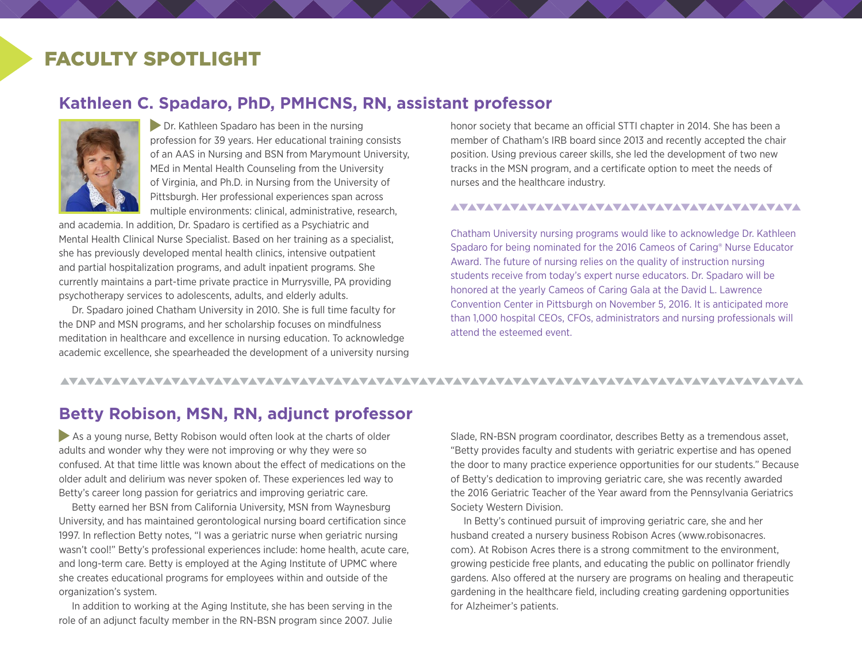# FACULTY SPOTLIGHT

### **Kathleen C. Spadaro, PhD, PMHCNS, RN, assistant professor**



**Dr. Kathleen Spadaro has been in the nursing** profession for 39 years. Her educational training consists of an AAS in Nursing and BSN from Marymount University, MEd in Mental Health Counseling from the University of Virginia, and Ph.D. in Nursing from the University of Pittsburgh. Her professional experiences span across multiple environments: clinical, administrative, research,

and academia. In addition, Dr. Spadaro is certified as a Psychiatric and Mental Health Clinical Nurse Specialist. Based on her training as a specialist, she has previously developed mental health clinics, intensive outpatient and partial hospitalization programs, and adult inpatient programs. She currently maintains a part-time private practice in Murrysville, PA providing psychotherapy services to adolescents, adults, and elderly adults.

Dr. Spadaro joined Chatham University in 2010. She is full time faculty for the DNP and MSN programs, and her scholarship focuses on mindfulness meditation in healthcare and excellence in nursing education. To acknowledge academic excellence, she spearheaded the development of a university nursing honor society that became an official STTI chapter in 2014. She has been a member of Chatham's IRB board since 2013 and recently accepted the chair position. Using previous career skills, she led the development of two new tracks in the MSN program, and a certificate option to meet the needs of nurses and the healthcare industry.

#### 

Chatham University nursing programs would like to acknowledge Dr. Kathleen Spadaro for being nominated for the 2016 Cameos of Caring® Nurse Educator Award. The future of nursing relies on the quality of instruction nursing students receive from today's expert nurse educators. Dr. Spadaro will be honored at the yearly Cameos of Caring Gala at the David L. Lawrence Convention Center in Pittsburgh on November 5, 2016. It is anticipated more than 1,000 hospital CEOs, CFOs, administrators and nursing professionals will attend the esteemed event.

#### <u>VAVAVAVAVAVAVAVAVAVAVAVAVAVAVAVA</u>

## **Betty Robison, MSN, RN, adjunct professor**

As a young nurse, Betty Robison would often look at the charts of older adults and wonder why they were not improving or why they were so confused. At that time little was known about the effect of medications on the older adult and delirium was never spoken of. These experiences led way to Betty's career long passion for geriatrics and improving geriatric care.

Betty earned her BSN from California University, MSN from Waynesburg University, and has maintained gerontological nursing board certification since 1997. In reflection Betty notes, "I was a geriatric nurse when geriatric nursing wasn't cool!" Betty's professional experiences include: home health, acute care, and long-term care. Betty is employed at the Aging Institute of UPMC where she creates educational programs for employees within and outside of the organization's system.

In addition to working at the Aging Institute, she has been serving in the role of an adjunct faculty member in the RN-BSN program since 2007. Julie Slade, RN-BSN program coordinator, describes Betty as a tremendous asset, "Betty provides faculty and students with geriatric expertise and has opened the door to many practice experience opportunities for our students." Because of Betty's dedication to improving geriatric care, she was recently awarded the 2016 Geriatric Teacher of the Year award from the Pennsylvania Geriatrics Society Western Division.

In Betty's continued pursuit of improving geriatric care, she and her husband created a nursery business Robison Acres (www.robisonacres. com). At Robison Acres there is a strong commitment to the environment, growing pesticide free plants, and educating the public on pollinator friendly gardens. Also offered at the nursery are programs on healing and therapeutic gardening in the healthcare field, including creating gardening opportunities for Alzheimer's patients.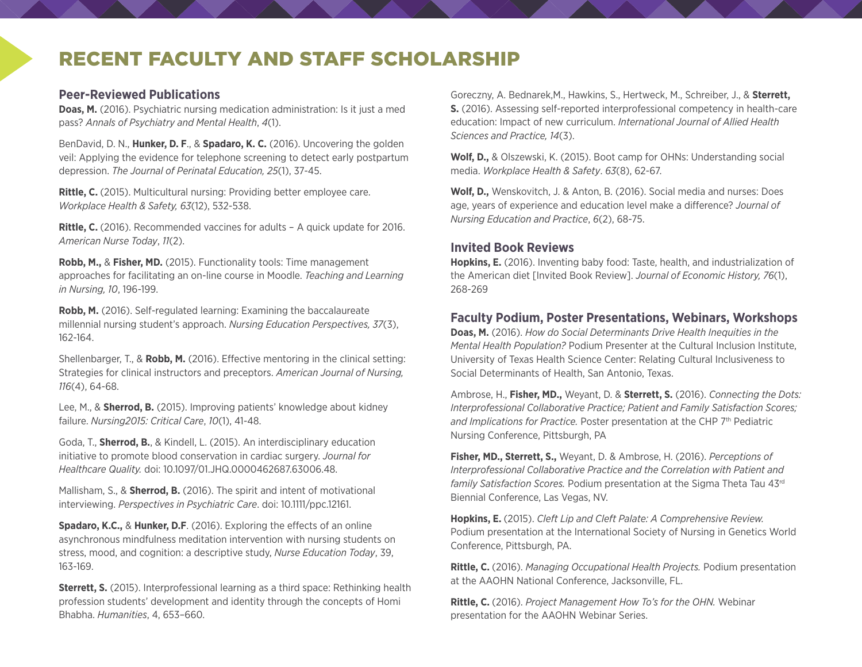# RECENT FACULTY AND STAFF SCHOLARSHIP

### **Peer-Reviewed Publications**

**Doas, M.** (2016). Psychiatric nursing medication administration: Is it just a med pass? *Annals of Psychiatry and Mental Health*, *4*(1).

BenDavid, D. N., **Hunker, D. F**., & **Spadaro, K. C.** (2016). Uncovering the golden veil: Applying the evidence for telephone screening to detect early postpartum depression. *The Journal of Perinatal Education, 25*(1), 37-45.

**Rittle, C.** (2015). Multicultural nursing: Providing better employee care. *Workplace Health & Safety, 63*(12), 532-538.

**Rittle, C.** (2016). Recommended vaccines for adults – A quick update for 2016. *American Nurse Today*, *11*(2).

**Robb, M.,** & **Fisher, MD.** (2015). Functionality tools: Time management approaches for facilitating an on-line course in Moodle. *Teaching and Learning in Nursing, 10*, 196-199.

**Robb, M.** (2016). Self-regulated learning: Examining the baccalaureate millennial nursing student's approach. *Nursing Education Perspectives, 37*(3), 162-164.

Shellenbarger, T., & **Robb, M.** (2016). Effective mentoring in the clinical setting: Strategies for clinical instructors and preceptors. *American Journal of Nursing, 116*(4), 64-68.

Lee, M., & **Sherrod, B.** (2015). Improving patients' knowledge about kidney failure. *Nursing2015: Critical Care*, *10*(1), 41-48.

Goda, T., **Sherrod, B.**, & Kindell, L. (2015). An interdisciplinary education initiative to promote blood conservation in cardiac surgery. *Journal for Healthcare Quality.* doi: 10.1097/01.JHQ.0000462687.63006.48.

Mallisham, S., & **Sherrod, B.** (2016). The spirit and intent of motivational interviewing. *Perspectives in Psychiatric Care*. doi: 10.1111/ppc.12161.

**Spadaro, K.C.,** & **Hunker, D.F**. (2016). Exploring the effects of an online asynchronous mindfulness meditation intervention with nursing students on stress, mood, and cognition: a descriptive study, *Nurse Education Today*, 39, 163-169.

**Sterrett, S.** (2015). Interprofessional learning as a third space: Rethinking health profession students' development and identity through the concepts of Homi Bhabha. *Humanities*, 4, 653–660.

Goreczny, A. Bednarek,M., Hawkins, S., Hertweck, M., Schreiber, J., & **Sterrett, S.** (2016). Assessing self-reported interprofessional competency in health-care education: Impact of new curriculum. *International Journal of Allied Health Sciences and Practice, 14*(3).

**Wolf, D.,** & Olszewski, K. (2015). Boot camp for OHNs: Understanding social media. *Workplace Health & Safety*. *63*(8), 62-67.

**Wolf, D.,** Wenskovitch, J. & Anton, B. (2016). Social media and nurses: Does age, years of experience and education level make a difference? *Journal of Nursing Education and Practice*, *6*(2), 68-75.

### **Invited Book Reviews**

**Hopkins, E.** (2016). Inventing baby food: Taste, health, and industrialization of the American diet [Invited Book Review]. *Journal of Economic History, 76*(1), 268-269

### **Faculty Podium, Poster Presentations, Webinars, Workshops**

**Doas, M.** (2016). *How do Social Determinants Drive Health Inequities in the Mental Health Population?* Podium Presenter at the Cultural Inclusion Institute, University of Texas Health Science Center: Relating Cultural Inclusiveness to Social Determinants of Health, San Antonio, Texas.

Ambrose, H., **Fisher, MD.,** Weyant, D. & **Sterrett, S.** (2016). *Connecting the Dots: Interprofessional Collaborative Practice; Patient and Family Satisfaction Scores; and Implications for Practice.* Poster presentation at the CHP 7<sup>th</sup> Pediatric Nursing Conference, Pittsburgh, PA

**Fisher, MD., Sterrett, S.,** Weyant, D. & Ambrose, H. (2016). *Perceptions of Interprofessional Collaborative Practice and the Correlation with Patient and family Satisfaction Scores.* Podium presentation at the Sigma Theta Tau 43rd Biennial Conference, Las Vegas, NV.

**Hopkins, E.** (2015). *Cleft Lip and Cleft Palate: A Comprehensive Review.*  Podium presentation at the International Society of Nursing in Genetics World Conference, Pittsburgh, PA.

**Rittle, C.** (2016). *Managing Occupational Health Projects.* Podium presentation at the AAOHN National Conference, Jacksonville, FL.

**Rittle, C.** (2016). *Project Management How To's for the OHN.* Webinar presentation for the AAOHN Webinar Series.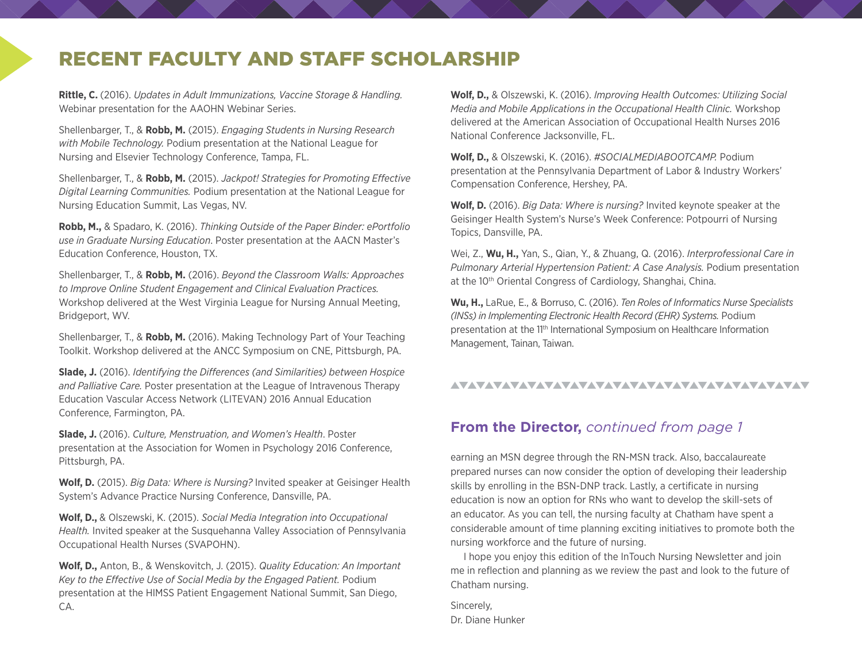# RECENT FACULTY AND STAFF SCHOLARSHIP

**Rittle, C.** (2016). *Updates in Adult Immunizations, Vaccine Storage & Handling.* Webinar presentation for the AAOHN Webinar Series.

Shellenbarger, T., & **Robb, M.** (2015). *Engaging Students in Nursing Research with Mobile Technology.* Podium presentation at the National League for Nursing and Elsevier Technology Conference, Tampa, FL.

Shellenbarger, T., & **Robb, M.** (2015). *Jackpot! Strategies for Promoting Effective Digital Learning Communities.* Podium presentation at the National League for Nursing Education Summit, Las Vegas, NV.

**Robb, M.,** & Spadaro, K. (2016). *Thinking Outside of the Paper Binder: ePortfolio use in Graduate Nursing Education*. Poster presentation at the AACN Master's Education Conference, Houston, TX.

Shellenbarger, T., & **Robb, M.** (2016). *Beyond the Classroom Walls: Approaches to Improve Online Student Engagement and Clinical Evaluation Practices.*  Workshop delivered at the West Virginia League for Nursing Annual Meeting, Bridgeport, WV.

Shellenbarger, T., & **Robb, M.** (2016). Making Technology Part of Your Teaching Toolkit. Workshop delivered at the ANCC Symposium on CNE, Pittsburgh, PA.

**Slade, J.** (2016). *Identifying the Differences (and Similarities) between Hospice and Palliative Care.* Poster presentation at the League of Intravenous Therapy Education Vascular Access Network (LITEVAN) 2016 Annual Education Conference, Farmington, PA.

**Slade, J.** (2016). *Culture, Menstruation, and Women's Health*. Poster presentation at the Association for Women in Psychology 2016 Conference, Pittsburgh, PA.

**Wolf, D.** (2015). *Big Data: Where is Nursing?* Invited speaker at Geisinger Health System's Advance Practice Nursing Conference, Dansville, PA.

**Wolf, D.,** & Olszewski, K. (2015). *Social Media Integration into Occupational Health.* Invited speaker at the Susquehanna Valley Association of Pennsylvania Occupational Health Nurses (SVAPOHN).

**Wolf, D.,** Anton, B., & Wenskovitch, J. (2015). *Quality Education: An Important Key to the Effective Use of Social Media by the Engaged Patient.* Podium presentation at the HIMSS Patient Engagement National Summit, San Diego, CA.

**Wolf, D.,** & Olszewski, K. (2016). *Improving Health Outcomes: Utilizing Social Media and Mobile Applications in the Occupational Health Clinic.* Workshop delivered at the American Association of Occupational Health Nurses 2016 National Conference Jacksonville, FL.

**Wolf, D.,** & Olszewski, K. (2016). *#SOCIALMEDIABOOTCAMP.* Podium presentation at the Pennsylvania Department of Labor & Industry Workers' Compensation Conference, Hershey, PA.

**Wolf, D.** (2016). *Big Data: Where is nursing?* Invited keynote speaker at the Geisinger Health System's Nurse's Week Conference: Potpourri of Nursing Topics, Dansville, PA.

Wei, Z., **Wu, H.,** Yan, S., Qian, Y., & Zhuang, Q. (2016). *Interprofessional Care in Pulmonary Arterial Hypertension Patient: A Case Analysis.* Podium presentation at the 10<sup>th</sup> Oriental Congress of Cardiology, Shanghai, China.

**Wu, H.,** LaRue, E., & Borruso, C. (2016). *Ten Roles of Informatics Nurse Specialists (INSs) in Implementing Electronic Health Record (EHR) Systems.* Podium presentation at the 11<sup>th</sup> International Symposium on Healthcare Information Management, Tainan, Taiwan.

### 

### **From the Director,** *continued from page 1*

earning an MSN degree through the RN-MSN track. Also, baccalaureate prepared nurses can now consider the option of developing their leadership skills by enrolling in the BSN-DNP track. Lastly, a certificate in nursing education is now an option for RNs who want to develop the skill-sets of an educator. As you can tell, the nursing faculty at Chatham have spent a considerable amount of time planning exciting initiatives to promote both the nursing workforce and the future of nursing.

I hope you enjoy this edition of the InTouch Nursing Newsletter and join me in reflection and planning as we review the past and look to the future of Chatham nursing.

Sincerely, Dr. Diane Hunker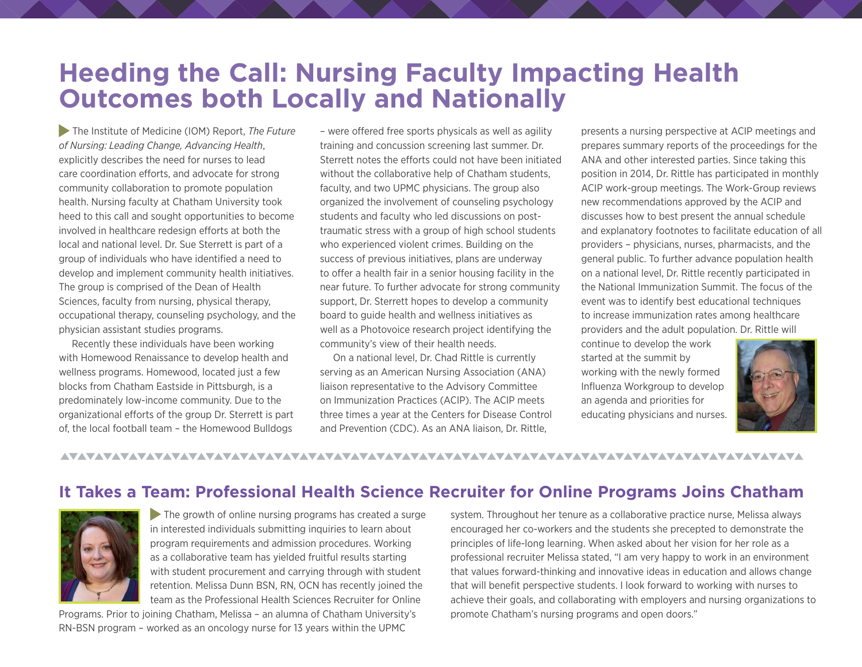# **Heeding the Call: Nursing Faculty Impacting Health Outcomes both Locally and Nationally**

 The Institute of Medicine (IOM) Report, *The Future of Nursing: Leading Change, Advancing Health*, explicitly describes the need for nurses to lead care coordination efforts, and advocate for strong community collaboration to promote population health. Nursing faculty at Chatham University took heed to this call and sought opportunities to become involved in healthcare redesign efforts at both the local and national level. Dr. Sue Sterrett is part of a group of individuals who have identified a need to develop and implement community health initiatives. The group is comprised of the Dean of Health Sciences, faculty from nursing, physical therapy, occupational therapy, counseling psychology, and the physician assistant studies programs.

Recently these individuals have been working with Homewood Renaissance to develop health and wellness programs. Homewood, located just a few blocks from Chatham Eastside in Pittsburgh, is a predominately low-income community. Due to the organizational efforts of the group Dr. Sterrett is part of, the local football team – the Homewood Bulldogs

– were offered free sports physicals as well as agility training and concussion screening last summer. Dr. Sterrett notes the efforts could not have been initiated without the collaborative help of Chatham students, faculty, and two UPMC physicians. The group also organized the involvement of counseling psychology students and faculty who led discussions on posttraumatic stress with a group of high school students who experienced violent crimes. Building on the success of previous initiatives, plans are underway to offer a health fair in a senior housing facility in the near future. To further advocate for strong community support, Dr. Sterrett hopes to develop a community board to guide health and wellness initiatives as well as a Photovoice research project identifying the community's view of their health needs.

On a national level, Dr. Chad Rittle is currently serving as an American Nursing Association (ANA) liaison representative to the Advisory Committee on Immunization Practices (ACIP). The ACIP meets three times a year at the Centers for Disease Control and Prevention (CDC). As an ANA liaison, Dr. Rittle,

presents a nursing perspective at ACIP meetings and prepares summary reports of the proceedings for the ANA and other interested parties. Since taking this position in 2014, Dr. Rittle has participated in monthly ACIP work-group meetings. The Work-Group reviews new recommendations approved by the ACIP and discusses how to best present the annual schedule and explanatory footnotes to facilitate education of all providers – physicians, nurses, pharmacists, and the general public. To further advance population health on a national level, Dr. Rittle recently participated in the National Immunization Summit. The focus of the event was to identify best educational techniques to increase immunization rates among healthcare providers and the adult population. Dr. Rittle will

continue to develop the work started at the summit by working with the newly formed Influenza Workgroup to develop an agenda and priorities for educating physicians and nurses.



### 

## **It Takes a Team: Professional Health Science Recruiter for Online Programs Joins Chatham**



The growth of online nursing programs has created a surge in interested individuals submitting inquiries to learn about program requirements and admission procedures. Working as a collaborative team has yielded fruitful results starting with student procurement and carrying through with student retention. Melissa Dunn BSN, RN, OCN has recently joined the team as the Professional Health Sciences Recruiter for Online

Programs. Prior to joining Chatham, Melissa – an alumna of Chatham University's RN-BSN program – worked as an oncology nurse for 13 years within the UPMC

system. Throughout her tenure as a collaborative practice nurse, Melissa always encouraged her co-workers and the students she precepted to demonstrate the principles of life-long learning. When asked about her vision for her role as a professional recruiter Melissa stated, "I am very happy to work in an environment that values forward-thinking and innovative ideas in education and allows change that will benefit perspective students. I look forward to working with nurses to achieve their goals, and collaborating with employers and nursing organizations to promote Chatham's nursing programs and open doors."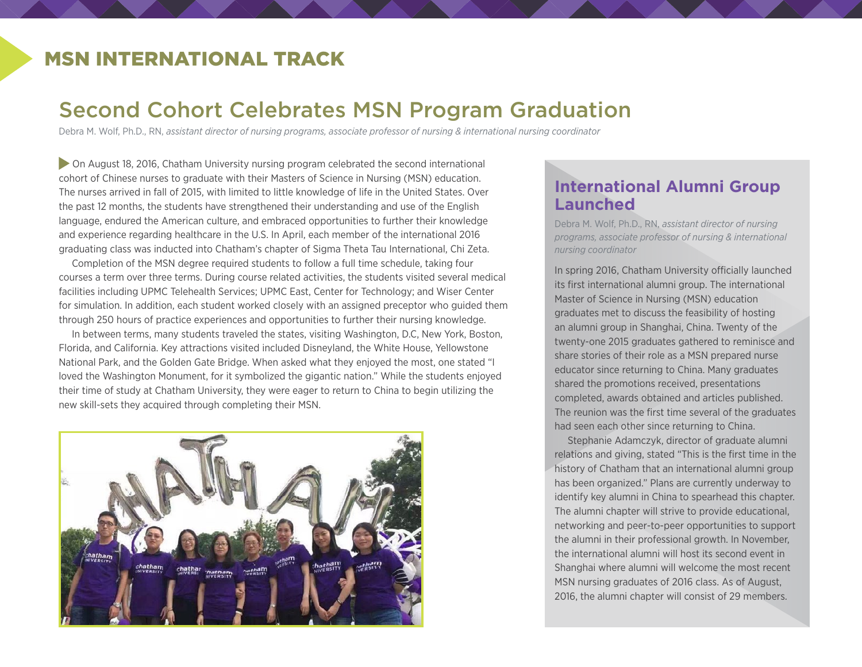# MSN INTERNATIONAL TRACK

# Second Cohort Celebrates MSN Program Graduation

Debra M. Wolf, Ph.D., RN, *assistant director of nursing programs, associate professor of nursing & international nursing coordinator*

 On August 18, 2016, Chatham University nursing program celebrated the second international cohort of Chinese nurses to graduate with their Masters of Science in Nursing (MSN) education. The nurses arrived in fall of 2015, with limited to little knowledge of life in the United States. Over the past 12 months, the students have strengthened their understanding and use of the English language, endured the American culture, and embraced opportunities to further their knowledge and experience regarding healthcare in the U.S. In April, each member of the international 2016 graduating class was inducted into Chatham's chapter of Sigma Theta Tau International, Chi Zeta.

Completion of the MSN degree required students to follow a full time schedule, taking four courses a term over three terms. During course related activities, the students visited several medical facilities including UPMC Telehealth Services; UPMC East, Center for Technology; and Wiser Center for simulation. In addition, each student worked closely with an assigned preceptor who guided them through 250 hours of practice experiences and opportunities to further their nursing knowledge.

In between terms, many students traveled the states, visiting Washington, D.C, New York, Boston, Florida, and California. Key attractions visited included Disneyland, the White House, Yellowstone National Park, and the Golden Gate Bridge. When asked what they enjoyed the most, one stated "I loved the Washington Monument, for it symbolized the gigantic nation." While the students enjoyed their time of study at Chatham University, they were eager to return to China to begin utilizing the new skill-sets they acquired through completing their MSN.



# **International Alumni Group Launched**

Debra M. Wolf, Ph.D., RN, *assistant director of nursing programs, associate professor of nursing & international nursing coordinator*

In spring 2016, Chatham University officially launched its first international alumni group. The international Master of Science in Nursing (MSN) education graduates met to discuss the feasibility of hosting an alumni group in Shanghai, China. Twenty of the twenty-one 2015 graduates gathered to reminisce and share stories of their role as a MSN prepared nurse educator since returning to China. Many graduates shared the promotions received, presentations completed, awards obtained and articles published. The reunion was the first time several of the graduates had seen each other since returning to China.

Stephanie Adamczyk, director of graduate alumni relations and giving, stated "This is the first time in the history of Chatham that an international alumni group has been organized." Plans are currently underway to identify key alumni in China to spearhead this chapter. The alumni chapter will strive to provide educational, networking and peer-to-peer opportunities to support the alumni in their professional growth. In November, the international alumni will host its second event in Shanghai where alumni will welcome the most recent MSN nursing graduates of 2016 class. As of August, 2016, the alumni chapter will consist of 29 members.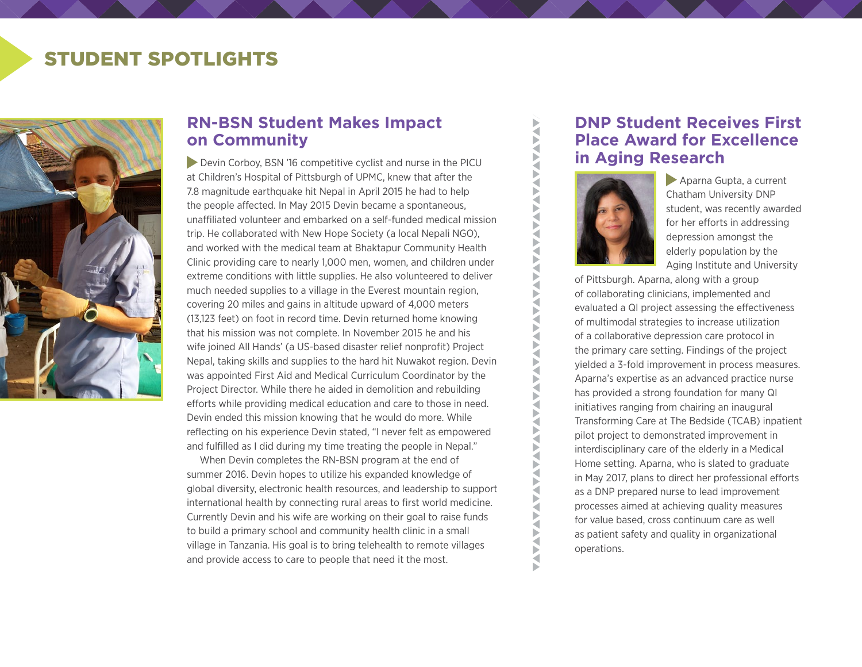# STUDENT SPOTLIGHTS



# **RN-BSN Student Makes Impact on Community**

Devin Corboy, BSN '16 competitive cyclist and nurse in the PICU at Children's Hospital of Pittsburgh of UPMC, knew that after the 7.8 magnitude earthquake hit Nepal in April 2015 he had to help the people affected. In May 2015 Devin became a spontaneous, unaffiliated volunteer and embarked on a self-funded medical mission trip. He collaborated with New Hope Society (a local Nepali NGO), and worked with the medical team at Bhaktapur Community Health Clinic providing care to nearly 1,000 men, women, and children under extreme conditions with little supplies. He also volunteered to deliver much needed supplies to a village in the Everest mountain region, covering 20 miles and gains in altitude upward of 4,000 meters (13,123 feet) on foot in record time. Devin returned home knowing that his mission was not complete. In November 2015 he and his wife joined All Hands' (a US-based disaster relief nonprofit) Project Nepal, taking skills and supplies to the hard hit Nuwakot region. Devin was appointed First Aid and Medical Curriculum Coordinator by the Project Director. While there he aided in demolition and rebuilding efforts while providing medical education and care to those in need. Devin ended this mission knowing that he would do more. While reflecting on his experience Devin stated, "I never felt as empowered and fulfilled as I did during my time treating the people in Nepal."

When Devin completes the RN-BSN program at the end of summer 2016. Devin hopes to utilize his expanded knowledge of global diversity, electronic health resources, and leadership to support international health by connecting rural areas to first world medicine. Currently Devin and his wife are working on their goal to raise funds to build a primary school and community health clinic in a small village in Tanzania. His goal is to bring telehealth to remote villages and provide access to care to people that need it the most.

# **DNP Student Receives First Place Award for Excellence in Aging Research**



 Aparna Gupta, a current Chatham University DNP student, was recently awarded for her efforts in addressing depression amongst the elderly population by the Aging Institute and University

of Pittsburgh. Aparna, along with a group of collaborating clinicians, implemented and evaluated a QI project assessing the effectiveness of multimodal strategies to increase utilization of a collaborative depression care protocol in the primary care setting. Findings of the project yielded a 3-fold improvement in process measures. Aparna's expertise as an advanced practice nurse has provided a strong foundation for many QI initiatives ranging from chairing an inaugural Transforming Care at The Bedside (TCAB) inpatient pilot project to demonstrated improvement in interdisciplinary care of the elderly in a Medical Home setting. Aparna, who is slated to graduate in May 2017, plans to direct her professional efforts as a DNP prepared nurse to lead improvement processes aimed at achieving quality measures for value based, cross continuum care as well as patient safety and quality in organizational operations.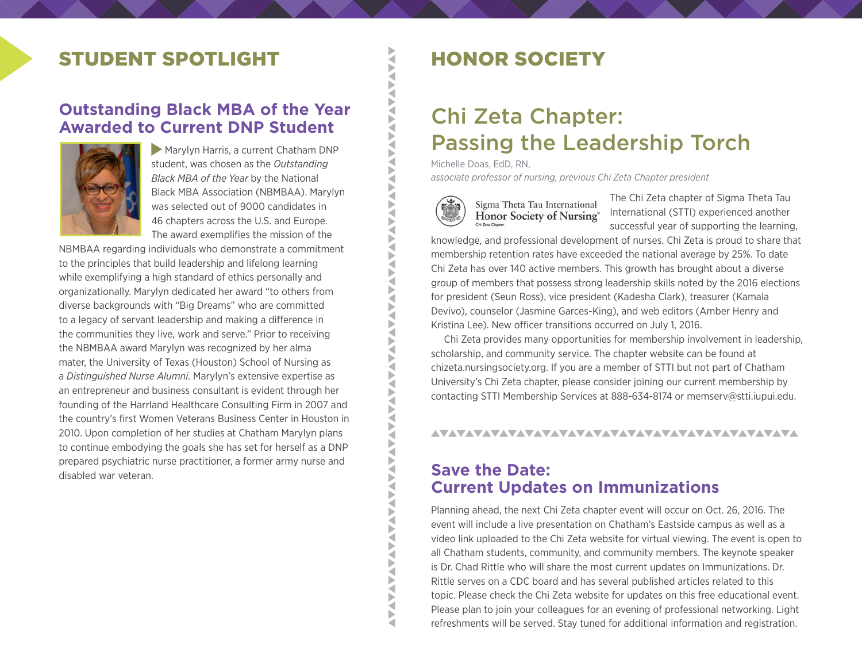# STUDENT SPOTLIGHT **EXAMPLE SPOTLIGHT**

# **Outstanding Black MBA of the Year Awarded to Current DNP Student**



Marylyn Harris, a current Chatham DNP student, was chosen as the *Outstanding Black MBA of the Year* by the National Black MBA Association (NBMBAA). Marylyn was selected out of 9000 candidates in 46 chapters across the U.S. and Europe. The award exemplifies the mission of the

NBMBAA regarding individuals who demonstrate a commitment to the principles that build leadership and lifelong learning while exemplifying a high standard of ethics personally and organizationally. Marylyn dedicated her award "to others from diverse backgrounds with "Big Dreams" who are committed to a legacy of servant leadership and making a difference in the communities they live, work and serve." Prior to receiving the NBMBAA award Marylyn was recognized by her alma mater, the University of Texas (Houston) School of Nursing as a *Distinguished Nurse Alumni*. Marylyn's extensive expertise as an entrepreneur and business consultant is evident through her founding of the Harrland Healthcare Consulting Firm in 2007 and the country's first Women Veterans Business Center in Houston in 2010. Upon completion of her studies at Chatham Marylyn plans to continue embodying the goals she has set for herself as a DNP prepared psychiatric nurse practitioner, a former army nurse and disabled war veteran.

# Chi Zeta Chapter: Passing the Leadership Torch

Michelle Doas, EdD, RN,

∢ Š VAV ₹ ₹ Б a Þ ◀ Ř

Þ ₹

Š  $\sum_{i=1}^{n}$ ₹ ∢ ₹ **N** ₹ ₹ ₹ ь ₹ ◀ Þ ₹

₹ ▶ ₹ Þ  $\sum_{i=1}^{n}$  $\sum_{i=1}^{n}$ ₹ F ₹ Š ₹

*associate professor of nursing, previous Chi Zeta Chapter president*



The Chi Zeta chapter of Sigma Theta Tau International (STTI) experienced another successful year of supporting the learning,

knowledge, and professional development of nurses. Chi Zeta is proud to share that membership retention rates have exceeded the national average by 25%. To date Chi Zeta has over 140 active members. This growth has brought about a diverse group of members that possess strong leadership skills noted by the 2016 elections for president (Seun Ross), vice president (Kadesha Clark), treasurer (Kamala Devivo), counselor (Jasmine Garces-King), and web editors (Amber Henry and Kristina Lee). New officer transitions occurred on July 1, 2016.

Chi Zeta provides many opportunities for membership involvement in leadership, scholarship, and community service. The chapter website can be found at chizeta.nursingsociety.org. If you are a member of STTI but not part of Chatham University's Chi Zeta chapter, please consider joining our current membership by contacting STTI Membership Services at 888-634-8174 or memserv@stti.iupui.edu.

### 

### **Save the Date: Current Updates on Immunizations**

Planning ahead, the next Chi Zeta chapter event will occur on Oct. 26, 2016. The event will include a live presentation on Chatham's Eastside campus as well as a video link uploaded to the Chi Zeta website for virtual viewing. The event is open to all Chatham students, community, and community members. The keynote speaker is Dr. Chad Rittle who will share the most current updates on Immunizations. Dr. Rittle serves on a CDC board and has several published articles related to this topic. Please check the Chi Zeta website for updates on this free educational event. Please plan to join your colleagues for an evening of professional networking. Light refreshments will be served. Stay tuned for additional information and registration.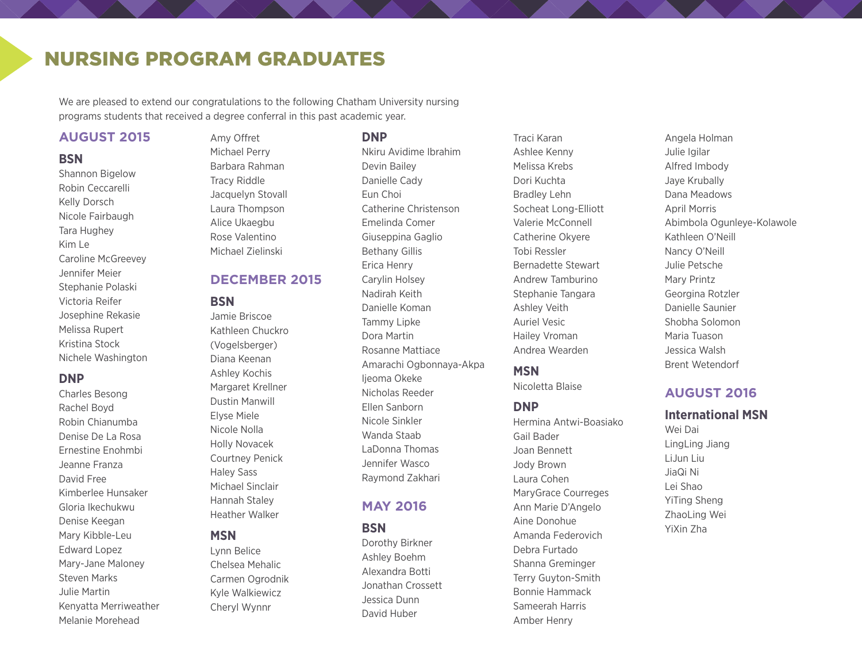# NURSING PROGRAM GRADUATES

We are pleased to extend our congratulations to the following Chatham University nursing programs students that received a degree conferral in this past academic year.

Amy Offret

### **AUGUST 2015**

#### **BSN**

Shannon Bigelow Robin Ceccarelli Kelly Dorsch Nicole Fairbaugh Tara Hughey Kim Le Caroline McGreevey Jennifer Meier Stephanie Polaski Victoria Reifer Josephine Rekasie Melissa Rupert Kristina Stock Nichele Washington

### **DNP**

Charles Besong Rachel Boyd Robin Chianumba Denise De La Rosa Ernestine Enohmbi Jeanne Franza David Free Kimberlee Hunsaker Gloria Ikechukwu Denise Keegan Mary Kibble-Leu Edward Lopez Mary-Jane Maloney Steven Marks Julie Martin Kenyatta Merriweather Melanie Morehead

### Michael Perry Barbara Rahman Tracy Riddle

Jacquelyn Stovall Laura Thompson Alice Ukaegbu Rose Valentino Michael Zielinski

### **DECEMBER 2015**

#### **BSN**

Jamie Briscoe Kathleen Chuckro (Vogelsberger) Diana Keenan Ashley Kochis Margaret Krellner Dustin Manwill Elyse Miele Nicole Nolla Holly Novacek Courtney Penick Haley Sass Michael Sinclair Hannah Staley Heather Walker

### **MSN**

Lynn Belice Chelsea Mehalic Carmen Ogrodnik Kyle Walkiewicz Cheryl Wynnr

### **DNP**

Nkiru Avidime Ibrahim Devin Bailey Danielle Cady Eun Choi Catherine Christenson Emelinda Comer Giuseppina Gaglio Bethany Gillis Erica Henry Carylin Holsey Nadirah Keith Danielle Koman Tammy Lipke Dora Martin Rosanne Mattiace Amarachi Ogbonnaya-Akpa Ijeoma Okeke Nicholas Reeder Ellen Sanborn Nicole Sinkler Wanda Staab LaDonna Thomas Jennifer Wasco Raymond Zakhari

### **MAY 2016**

**BSN**

Dorothy Birkner Ashley Boehm Alexandra Botti Jonathan Crossett Jessica Dunn David Huber

Traci Karan Ashlee Kenny Melissa Krebs Dori Kuchta Bradley Lehn Socheat Long-Elliott Valerie McConnell Catherine Okyere Tobi Ressler Bernadette Stewart Andrew Tamburino Stephanie Tangara Ashley Veith Auriel Vesic Hailey Vroman Andrea Wearden

### **MSN**

Nicoletta Blaise

### **DNP**

Hermina Antwi-Boasiako Gail Bader Joan Bennett Jody Brown Laura Cohen MaryGrace Courreges Ann Marie D'Angelo Aine Donohue Amanda Federovich Debra Furtado Shanna Greminger Terry Guyton-Smith Bonnie Hammack Sameerah Harris Amber Henry

Angela Holman Julie Igilar Alfred Imbody Jaye Krubally Dana Meadows April Morris Abimbola Ogunleye-Kolawole Kathleen O'Neill Nancy O'Neill Julie Petsche Mary Printz Georgina Rotzler Danielle Saunier Shobha Solomon Maria Tuason Jessica Walsh Brent Wetendorf

### **AUGUST 2016**

#### **International MSN**

Wei Dai LingLing Jiang LiJun Liu JiaQi Ni Lei Shao YiTing Sheng ZhaoLing Wei YiXin Zha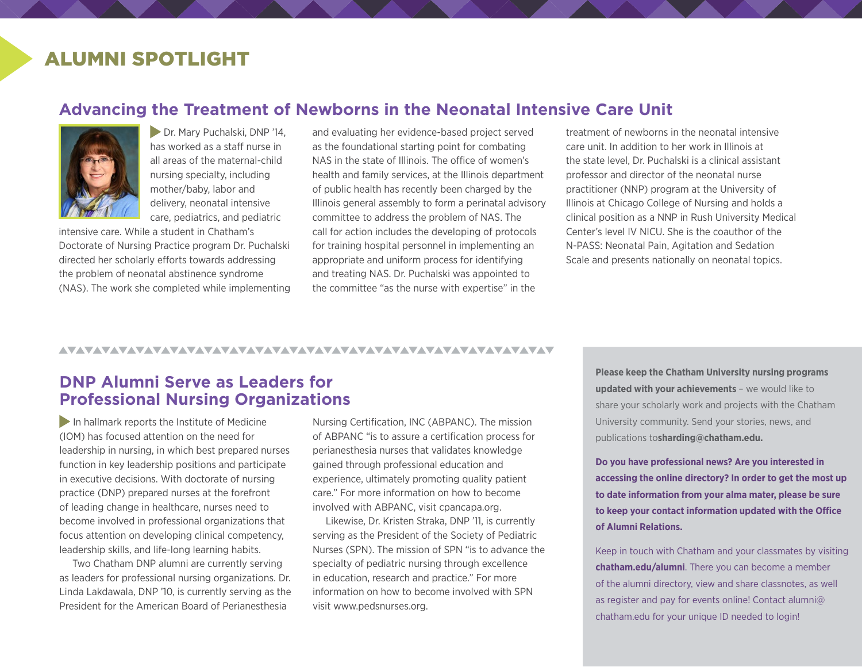# ALUMNI SPOTLIGHT

### **Advancing the Treatment of Newborns in the Neonatal Intensive Care Unit**



**Dr. Mary Puchalski, DNP '14,** has worked as a staff nurse in all areas of the maternal-child nursing specialty, including mother/baby, labor and delivery, neonatal intensive care, pediatrics, and pediatric

intensive care. While a student in Chatham's Doctorate of Nursing Practice program Dr. Puchalski directed her scholarly efforts towards addressing the problem of neonatal abstinence syndrome (NAS). The work she completed while implementing

and evaluating her evidence-based project served as the foundational starting point for combating NAS in the state of Illinois. The office of women's health and family services, at the Illinois department of public health has recently been charged by the Illinois general assembly to form a perinatal advisory committee to address the problem of NAS. The call for action includes the developing of protocols for training hospital personnel in implementing an appropriate and uniform process for identifying and treating NAS. Dr. Puchalski was appointed to the committee "as the nurse with expertise" in the

treatment of newborns in the neonatal intensive care unit. In addition to her work in Illinois at the state level, Dr. Puchalski is a clinical assistant professor and director of the neonatal nurse practitioner (NNP) program at the University of Illinois at Chicago College of Nursing and holds a clinical position as a NNP in Rush University Medical Center's level IV NICU. She is the coauthor of the N-PASS: Neonatal Pain, Agitation and Sedation Scale and presents nationally on neonatal topics.

#### 

## **DNP Alumni Serve as Leaders for Professional Nursing Organizations**

In hallmark reports the Institute of Medicine (IOM) has focused attention on the need for leadership in nursing, in which best prepared nurses function in key leadership positions and participate in executive decisions. With doctorate of nursing practice (DNP) prepared nurses at the forefront of leading change in healthcare, nurses need to become involved in professional organizations that focus attention on developing clinical competency, leadership skills, and life-long learning habits.

Two Chatham DNP alumni are currently serving as leaders for professional nursing organizations. Dr. Linda Lakdawala, DNP '10, is currently serving as the President for the American Board of Perianesthesia

Nursing Certification, INC (ABPANC). The mission of ABPANC "is to assure a certification process for perianesthesia nurses that validates knowledge gained through professional education and experience, ultimately promoting quality patient care." For more information on how to become involved with ABPANC, visit cpancapa.org.

Likewise, Dr. Kristen Straka, DNP '11, is currently serving as the President of the Society of Pediatric Nurses (SPN). The mission of SPN "is to advance the specialty of pediatric nursing through excellence in education, research and practice." For more information on how to become involved with SPN visit www.pedsnurses.org.

**Please keep the Chatham University nursing programs updated with your achievements** – we would like to share your scholarly work and projects with the Chatham University community. Send your stories, news, and publications to**shardin[g@chatham.edu.](mailto:jwasco@chatham.edu?subject=Newsletter)**

**Do you have professional news? Are you interested in accessing the online directory? In order to get the most up to date information from your alma mater, please be sure to keep your contact information updated with the Office of Alumni Relations.**

Keep in touch with Chatham and your classmates by visiting **chatham.edu/alumni**. There you can become a member of the alumni directory, view and share classnotes, as well as register and pay for events online! Contact alumni@ chatham.edu for your unique ID needed to login!